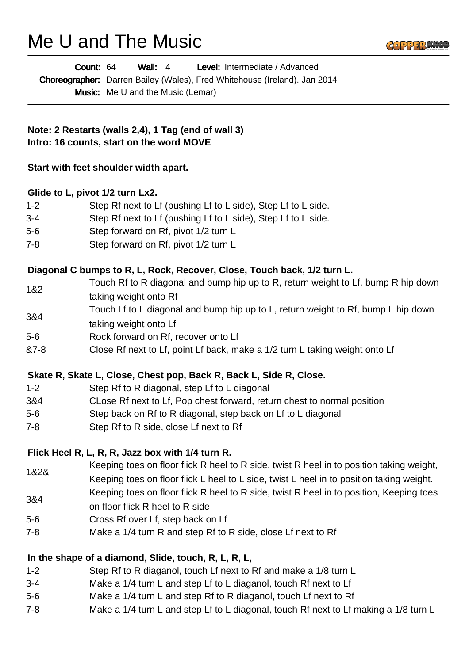# Me U and The Music

|         | Count: 64<br>Wall: $4$<br>Level: Intermediate / Advanced                                 |
|---------|------------------------------------------------------------------------------------------|
|         | Choreographer: Darren Bailey (Wales), Fred Whitehouse (Ireland). Jan 2014                |
|         | <b>Music:</b> Me U and the Music (Lemar)                                                 |
|         | Note: 2 Restarts (walls 2,4), 1 Tag (end of wall 3)                                      |
|         | Intro: 16 counts, start on the word MOVE                                                 |
|         | Start with feet shoulder width apart.                                                    |
|         | Glide to L, pivot 1/2 turn Lx2.                                                          |
| $1 - 2$ | Step Rf next to Lf (pushing Lf to L side), Step Lf to L side.                            |
| $3-4$   | Step Rf next to Lf (pushing Lf to L side), Step Lf to L side.                            |
| 5-6     | Step forward on Rf, pivot 1/2 turn L                                                     |
| 7-8     | Step forward on Rf, pivot 1/2 turn L                                                     |
|         | Diagonal C bumps to R, L, Rock, Recover, Close, Touch back, 1/2 turn L.                  |
| 1&2     | Touch Rf to R diagonal and bump hip up to R, return weight to Lf, bump R hip down        |
|         | taking weight onto Rf                                                                    |
| 3&4     | Touch Lf to L diagonal and bump hip up to L, return weight to Rf, bump L hip down        |
|         | taking weight onto Lf                                                                    |
| 5-6     | Rock forward on Rf, recover onto Lf                                                      |
| &7-8    | Close Rf next to Lf, point Lf back, make a 1/2 turn L taking weight onto Lf              |
|         | Skate R, Skate L, Close, Chest pop, Back R, Back L, Side R, Close.                       |
| $1 - 2$ | Step Rf to R diagonal, step Lf to L diagonal                                             |
| 3&4     | CLose Rf next to Lf, Pop chest forward, return chest to normal position                  |
| 5-6     | Step back on Rf to R diagonal, step back on Lf to L diagonal                             |
| 7-8     | Step Rf to R side, close Lf next to Rf                                                   |
|         | Flick Heel R, L, R, R, Jazz box with 1/4 turn R.                                         |
| 1&2&    | Keeping toes on floor flick R heel to R side, twist R heel in to position taking weight, |
|         | Keeping toes on floor flick L heel to L side, twist L heel in to position taking weight. |
| 3&4     | Keeping toes on floor flick R heel to R side, twist R heel in to position, Keeping toes  |
|         | on floor flick R heel to R side                                                          |
| 5-6     | Cross Rf over Lf, step back on Lf                                                        |
| 7-8     | Make a 1/4 turn R and step Rf to R side, close Lf next to Rf                             |
|         | In the shape of a diamond, Slide, touch, R, L, R, L,                                     |
| $1 - 2$ | Step Rf to R diaganol, touch Lf next to Rf and make a 1/8 turn L                         |
|         |                                                                                          |

GOPPER KNO

- 3-4 Make a 1/4 turn L and step Lf to L diaganol, touch Rf next to Lf
- 5-6 Make a 1/4 turn L and step Rf to R diaganol, touch Lf next to Rf
- 7-8 Make a 1/4 turn L and step Lf to L diagonal, touch Rf next to Lf making a 1/8 turn L